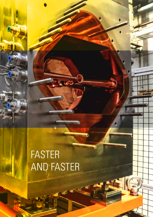# FASTER AND FASTER

**TWO** 

*<u>MANGELINA (MANGELINA)</u>* 

**Mananananananananananana** 

annananananananananan

umananang P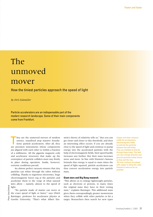# The unmoved mover

# How the tiniest particles approach the speed of light

*By Dirk Eidemüller*

Particle accelerators are an indispensable part of the modern research landscape. Some of their main components come from Frankfurt.

T hey are the unmoved movers of modern science, transfixed atop massive foundations: particle accelerators. After all, they are precision instruments whose components are aligned with each other to within a fraction of a millimetre. All the gigantic magnetic coils and accelerator structures that make up the centrepiece of particle colliders must stay firmly in place during operation. Inside, however, extreme conditions prevail.

An almost perfect vacuum ensures that tiny particles can whizz through the tubes without colliding. Thanks to ingenious electronics, huge electromagnetic forces tug at the particles and accelerate them to the verge of what natural laws allow – namely, almost to the speed of light.

"No particle made of matter can move at the exact speed of light or faster," says Ulrich Ratzinger, professor for accelerator physics at Goethe University. "That's what Albert Ein-

stein's theory of relativity tells us." But you can get closer and closer to this threshold, and then an interesting effect occurs: if you are already close to the speed of light and continue to pump energy into the accelerated particles with the help of electromagnetic fields, their speed hardly increases any further. But their mass increases more and more. In line with Einstein's famous formula that energy is equal to mass times the speed of light squared, particle accelerators can thus convert acceleration energy into particle mass.

#### **Giant stars and Big Bang research**

"This allows us to enlarge lightweight particles, such as electrons or protons, to many times the original mass they have in their resting state," explains Ratzinger. This additional mass gives them correspondingly greater momentum when they collide with other particles or hit a target. Researchers then search for new types

Copper and steel colossus: inside the accelerators, electromagnetic fields accelerate the particles between the drift tubes. They are shielded as they fly through these tubes. The field can now change direction and give the particles further thrust as they exit the ring. All inner surfaces are plated with copper to damp the radiofrequency wave as far as possible.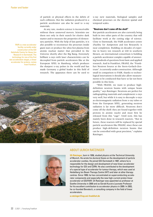FAIR is a new accelerator facility currently under construction at the GSI Helmholtz Centre for Heavy Ion Research in Darmstadt. The technology for one of the first two acceleration stages, a linear accelerator for protons, comes from Frankfurt.

of particle or physical effects in the debris of such collisions. But the radiation produced in a particle accelerator can also be used to x-ray materials.

At any rate, modern science is inconceivable without these unmoved movers. Scientists use them not only in their search for elusive dark matter and to measure the properties of elementary particles. With the help of fast particles, it is also possible to reconstruct the processes inside giant stars or produce the ultra-hot plasma from atomic nuclear matter that prevailed in the Universe shortly after the Big Bang. Extremely brilliant x-rays with laser characteristics can be decoupled from particle accelerators like at the European XFEL in Hamburg, which produces the sharpest x-ray pulses in the world and has made Germany a global leader in this field of research. The apparatus there can be used to



x-ray new materials, biological samples and chemical processes on the shortest spatial and temporal scales.

#### **"Neutrons don't come off the shelf"**

But particle accelerators are also currently being built in two other parts of the country that will facilitate work at the cutting edge of science. Close to Darmstadt, the FAIR accelerator centre (Facility for Antiproton and Ion Research) is near completion. Building on decades of expertise in heavy ion research at GSI in southern Hessen, an international consortium is building a particle accelerator complex capable of answering hundreds of questions from basic and applied research. And in Frankfurt, FRANZ, the "Frankfurt Neutron Source at the Stern-Gerlach-Zentrum", is currently under construction. Although small in comparison to FAIR, thanks to technological innovations it should also allow measurements to be conducted that have so far not been possible in this form.

"With FRANZ, we want to produce highdefinition neutron beams with unique beam quality," says Ratzinger. Neutrons are perfect for radiographing materials and complement x-rays very well, but while it is easy to decouple x-rays as electromagnetic radiation from x-ray tubes or from the European XFEL, generating neutron radiation is far more difficult. Neutrons don't come off the shelf: they are found together with protons in atomic nuclei and must first be released from this "cage". Until now, this has mainly been done in research reactors. "But in future, these reactors will be replaced by special particle accelerators like FRANZ, since these can produce high-definition neutron beams that can be controlled with great precision," explains Ratzinger.



# ABOUT ULRICH RATZINGER

**Uli Ratzinger**, born in 1956, studied physics at the Technical University of Munich. He wrote his doctoral thesis on the development of particle accelerator cavities. He joined GSI Darmstadt in 1987, where he is responsible for the design and development of new linear accelerator technology for GSI and CERN. He also contributed to the development of a special type of accelerator for tumour therapy, which was used at Heidelberg Ion Beam Therapy Centre (HIT) and later at other therapy centres. Since 1999, he has concentrated on superconducting accelerator components and especially the new high-current proton linear accelerator at GSI/FAIR. Uli Ratzinger was appointed as professor at Goethe University in 2000 and as Gerald Kucera Laureate Professor for his excellent contribution to accelerator physics in 2009. In 2003, he co-founded Bevatech, a consulting company in the field of linear accelerators.

**[u.ratzinger@iap.uni-frankfurt.de](mailto:u.ratzinger@iap.uni-frankfurt.de)**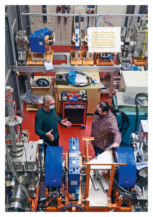